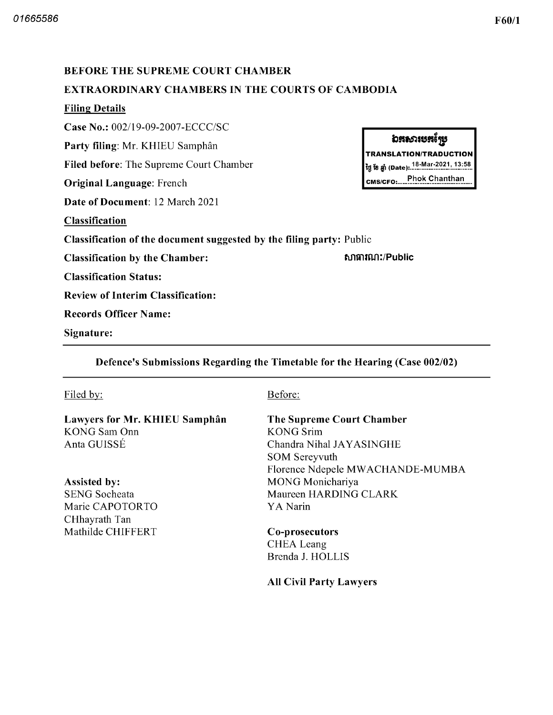| <b>BEFORE THE SUPREME COURT CHAMBER</b>                              |                                                                           |  |
|----------------------------------------------------------------------|---------------------------------------------------------------------------|--|
| <b>EXTRAORDINARY CHAMBERS IN THE COURTS OF CAMBODIA</b>              |                                                                           |  |
| <b>Filing Details</b>                                                |                                                                           |  |
| Case No.: 002/19-09-2007-ECCC/SC                                     |                                                                           |  |
| Party filing: Mr. KHIEU Samphân                                      | ឯកសារបតប្បែ                                                               |  |
| Filed before: The Supreme Court Chamber                              | <b>TRANSLATION/TRADUCTION</b><br>ថ្ងៃ ខែ ឆ្នាំ (Date): 18-Mar-2021, 13:58 |  |
| <b>Original Language:</b> French                                     | CMS/CFO: Phok Chanthan                                                    |  |
| <b>Date of Document: 12 March 2021</b>                               |                                                                           |  |
| <b>Classification</b>                                                |                                                                           |  |
| Classification of the document suggested by the filing party: Public |                                                                           |  |
| <b>Classification by the Chamber:</b>                                | សាធារណ:/Public                                                            |  |
| <b>Classification Status:</b>                                        |                                                                           |  |
| <b>Review of Interim Classification:</b>                             |                                                                           |  |
| <b>Records Officer Name:</b>                                         |                                                                           |  |
| Signature:                                                           |                                                                           |  |

### Defence's Submissions Regarding the Timetable for the Hearing (Case 002/02)

# Filed by: Before:

Lawyers for Mr. KHIEU Samphân KONG Sam Onn Anta GUISSÉ

Assisted by SENG Socheata Marie CAPOTORTO CHhayrath Tan Mathilde CHIFFERT **Co-prosecutors** 

The Supreme Court Chamber KONG Srim Chandra Nihal JAYASINGHE SOM Sereyvuth Florence Ndepele MWACHANDE-MUMBA MONG Monichariya Maureen HARDING CLARK YA Narin

CHEA Leang Brenda J. HOLLIS

All Civil Party Lawyers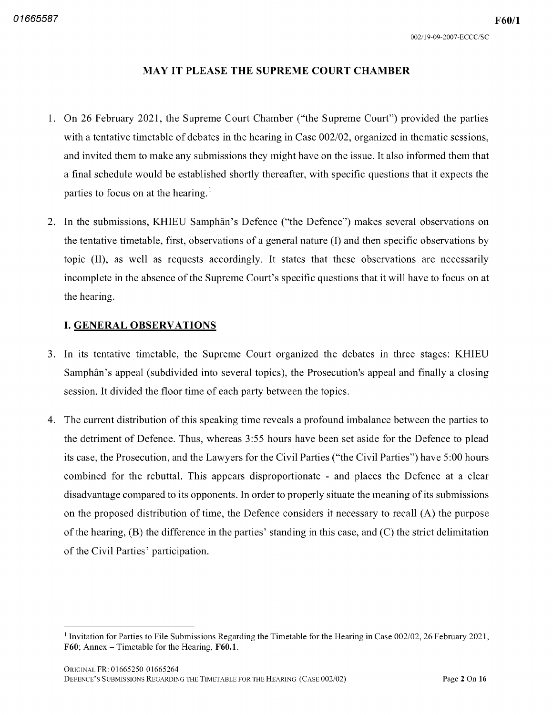### MAY IT PLEASE THE SUPREME COURT CHAMBER

- 1. On 26 February 2021, the Supreme Court Chamber ("the Supreme Court") provided the parties with a tentative timetable of debates in the hearing in Case  $002/02$ , organized in thematic sessions, and invited them to make any submissions they might have on the issue It also informed them that a final schedule would be established shortly thereafter, with specific questions that it expects the parties to focus on at the hearing.<sup>1</sup>
- 2. In the submissions, KHIEU Samphân's Defence ("the Defence") makes several observations on the tentative timetable, first, observations of a general nature  $(1)$  and then specific observations by topic (II), as well as requests accordingly. It states that these observations are necessarily incomplete in the absence of the Supreme Court's specific questions that it will have to focus on at the hearing

## GENERAL OBSERVATIONS

- 3. In its tentative timetable, the Supreme Court organized the debates in three stages: KHIEU Samphân's appeal (subdivided into several topics), the Prosecution's appeal and finally a closing session. It divided the floor time of each party between the topics.
- The current distribution of this speaking time reveals a profound imbalance between the parties to  $\overline{4}$ . the detriment of Defence. Thus, whereas 3:55 hours have been set aside for the Defence to plead its case, the Prosecution, and the Lawyers for the Civil Parties ("the Civil Parties") have 5:00 hours combined for the rebuttal. This appears disproportionate - and places the Defence at a clear disadvantage compared to its opponents In order to properly situate the meaning of its submissions on the proposed distribution of time, the Defence considers it necessary to recall  $(A)$  the purpose of the hearing,  $(B)$  the difference in the parties' standing in this case, and  $(C)$  the strict delimitation of the Civil Parties' participation

<sup>&</sup>lt;sup>1</sup> Invitation for Parties to File Submissions Regarding the Timetable for the Hearing in Case 002/02, 26 February 2021, F60; Annex – Timetable for the Hearing, F60.1.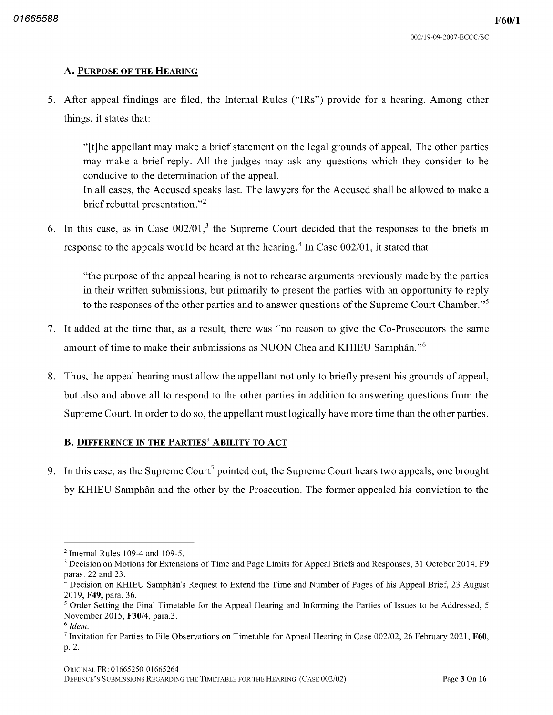# A. PURPOSE OF THE HEARING

5. After appeal findings are filed, the Internal Rules ("IRs") provide for a hearing. Among other things, it states that:

"[t]he appellant may make a brief statement on the legal grounds of appeal. The other parties may make a brief reply. All the judges may ask any questions which they consider to be conducive to the determination of the appeal In all cases, the Accused speaks last. The lawyers for the Accused shall be allowed to make a brief rebuttal presentation."<sup>2</sup>

6. In this case, as in Case  $002/01$ ,<sup>3</sup> the Supreme Court decided that the responses to the briefs in response to the appeals would be heard at the hearing.<sup>4</sup> In Case  $002/01$ , it stated that:

"the purpose of the appeal hearing is not to rehearse arguments previously made by the parties in their written submissions, but primarily to present the parties with an opportunity to reply to the responses of the other parties and to answer questions of the Supreme Court Chamber."<sup>5</sup>

- 7. It added at the time that, as a result, there was "no reason to give the Co-Prosecutors the same amount of time to make their submissions as NUON Chea and KHIEU Samphân "6
- 8. Thus, the appeal hearing must allow the appellant not only to briefly present his grounds of appeal, but also and above all to respond to the other parties in addition to answering questions from the Supreme Court. In order to do so, the appellant must logically have more time than the other parties.

# Difference in the Parties' Ability to Act

9. In this case, as the Supreme Court<sup>7</sup> pointed out, the Supreme Court hears two appeals, one brought by KHIEU Samphân and the other by the Prosecution The former appealed his conviction to the

 $2$  Internal Rules 109-4 and 109-5.

<sup>&</sup>lt;sup>3</sup> Decision on Motions for Extensions of Time and Page Limits for Appeal Briefs and Responses, 31 October 2014, F9 paras 22 and 23

<sup>&</sup>lt;sup>4</sup> Decision on KHIEU Samphân's Request to Extend the Time and Number of Pages of his Appeal Brief, 23 August 2019, **F49,** para. 36.

<sup>&</sup>lt;sup>5</sup> Order Setting the Final Timetable for the Appeal Hearing and Informing the Parties of Issues to be Addressed, 5 November 2015, F30/4, para.3.

 $6$  Idem.

<sup>&</sup>lt;sup>7</sup> Invitation for Parties to File Observations on Timetable for Appeal Hearing in Case 002/02, 26 February 2021, F60, p. 2.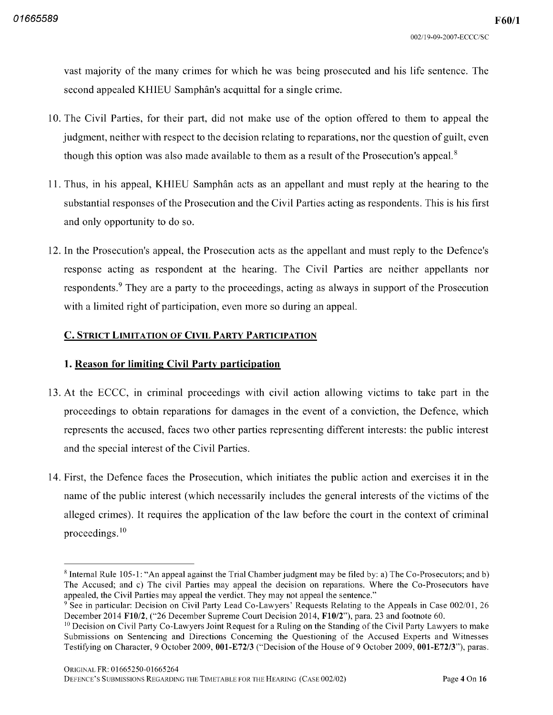vast majority of the many crimes for which he was being prosecuted and his life sentence The second appealed KHIEU Samphân's acquittal for a single crime.

- 10. The Civil Parties, for their part, did not make use of the option offered to them to appeal the judgment, neither with respect to the decision relating to reparations, nor the question of guilt, even though this option was also made available to them as a result of the Prosecution's appeal. $8$
- 11. Thus, in his appeal, KHIEU Samphân acts as an appellant and must reply at the hearing to the substantial responses of the Prosecution and the Civil Parties acting as respondents This is his first and only opportunity to do so
- 12. In the Prosecution's appeal, the Prosecution acts as the appellant and must reply to the Defence's response acting as respondent at the hearing. The Civil Parties are neither appellants nor respondents.<sup>9</sup> They are a party to the proceedings, acting as always in support of the Prosecution with a limited right of participation, even more so during an appeal.

## C. STRICT LIMITATION OF CIVIL PARTY PARTICIPATION

### 1. Reason for limiting Civil Party participation

- <sup>13</sup> At the ECCC in criminal proceedings with civil action allowing victims to take part in the proceedings to obtain reparations for damages in the event of a conviction, the Defence, which represents the accused, faces two other parties representing different interests: the public interest and the special interest of the Civil Parties
- 14. First, the Defence faces the Prosecution, which initiates the public action and exercises it in the name of the public interest (which necessarily includes the general interests of the victims of the alleged crimes). It requires the application of the law before the court in the context of criminal proceedings.<sup>10</sup>

 $\delta$  Internal Rule 105-1: "An appeal against the Trial Chamber judgment may be filed by: a) The Co-Prosecutors; and b) The Accused; and c) The civil Parties may appeal the decision on reparations. Where the Co-Prosecutors have appealed, the Civil Parties may appeal the verdict. They may not appeal the sentence."

<sup>&</sup>lt;sup>9</sup> See in particular: Decision on Civil Party Lead Co-Lawyers' Requests Relating to the Appeals in Case 002/01, 26 December 2014 F10/2,  $(26$  December Supreme Court Decision 2014, F10/2"), para. 23 and footnote 60.

<sup>&</sup>lt;sup>10</sup> Decision on Civil Party Co-Lawyers Joint Request for a Ruling on the Standing of the Civil Party Lawyers to make Submissions on Sentencing and Directions Concerning the Questioning of the Accused Experts and Witnesses Testifying on Character, 9 October 2009, 001-E72/3 ("Decision of the House of 9 October 2009, 001-E72/3"), paras.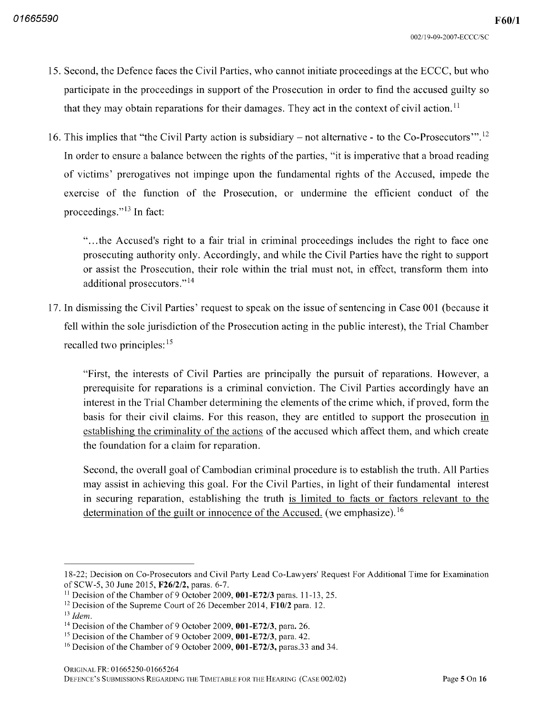- 15. Second, the Defence faces the Civil Parties, who cannot initiate proceedings at the ECCC, but who participate in the proceedings in support of the Prosecution in order to find the accused guilty so that they may obtain reparations for their damages. They act in the context of civil action.<sup>11</sup>
- 16. This implies that "the Civil Party action is subsidiary not alternative to the Co-Prosecutors'".<sup>12</sup> In order to ensure a balance between the rights of the parties, "it is imperative that a broad reading of victims' prerogatives not impinge upon the fundamental rights of the Accused, impede the exercise of the function of the Prosecution or undermine the efficient conduct of the proceedings."<sup>13</sup> In fact:

"...the Accused's right to a fair trial in criminal proceedings includes the right to face one prosecuting authority only Accordingly and while the Civil Parties have the right to support or assist the Prosecution, their role within the trial must not, in effect, transform them into additional prosecutors."<sup>14</sup>

17. In dismissing the Civil Parties' request to speak on the issue of sentencing in Case 001 (because it fell within the sole jurisdiction of the Prosecution acting in the public interest), the Trial Chamber recalled two principles:  $15$ 

"First, the interests of Civil Parties are principally the pursuit of reparations. However, a prerequisite for reparations is a criminal conviction. The Civil Parties accordingly have an interest in the Trial Chamber determining the elements of the crime which, if proved, form the basis for their civil claims. For this reason, they are entitled to support the prosecution in establishing the criminality of the actions of the accused which affect them, and which create the foundation for a claim for reparation.

Second, the overall goal of Cambodian criminal procedure is to establish the truth. All Parties may assist in achieving this goal For the Civil Parties in light of their fundamental interest in securing reparation, establishing the truth is limited to facts or factors relevant to the determination of the guilt or innocence of the Accused. (we emphasize).<sup>16</sup>

 $12$  Decision of the Supreme Court of 26 December 2014, F10/2 para. 12.

<sup>18</sup> 22 Decision on Co Prosecutors and Civil Party Lead Co Lawyers Request For Additional Time for Examination of SCW-5, 30 June 2015,  $F26/2/2$ , paras, 6-7.

 $11$  Decision of the Chamber of 9 October 2009, 001-E72/3 paras. 11-13, 25.

 $^{13}$  Idem.

<sup>&</sup>lt;sup>14</sup> Decision of the Chamber of 9 October 2009,  $001-E72/3$ , para. 26.

<sup>&</sup>lt;sup>15</sup> Decision of the Chamber of 9 October 2009,  $001-E72/3$ , para. 42.

 $^{16}$  Decision of the Chamber of 9 October 2009, 001-E72/3, paras.33 and 34.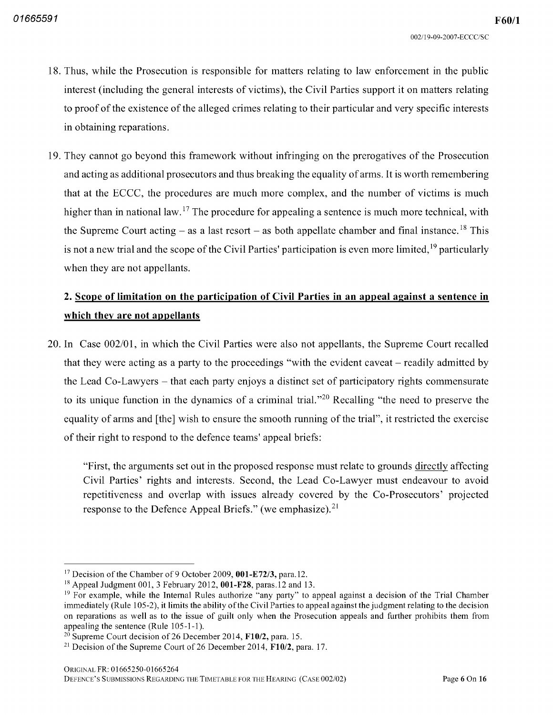- 18 Thus while the Prosecution is responsible for matters relating to law enforcement in the public interest (including the general interests of victims), the Civil Parties support it on matters relating to proof of the existence of the alleged crimes relating to their particular and very specific interests in obtaining reparations
- <sup>19</sup> They cannot go beyond this framework without infringing on the prerogatives of the Prosecution and acting as additional prosecutors and thus breaking the equality of arms It is worth remembering that at the ECCC, the procedures are much more complex, and the number of victims is much higher than in national law.<sup>17</sup> The procedure for appealing a sentence is much more technical, with the Supreme Court acting  $-$  as a last resort  $-$  as both appellate chamber and final instance.<sup>18</sup> This is not a new trial and the scope of the Civil Parties' participation is even more limited,  $^{19}$  particularly when they are not appellants.

# 2. Scope of limitation on the participation of Civil Parties in an appeal against a sentence in which they are not appellants

20. In Case 002/01, in which the Civil Parties were also not appellants, the Supreme Court recalled that they were acting as a party to the proceedings "with the evident caveat – readily admitted by the Lead Co-Lawyers – that each party enjoys a distinct set of participatory rights commensurate to its unique function in the dynamics of a criminal trial."<sup>20</sup> Recalling "the need to preserve the equality of arms and [the] wish to ensure the smooth running of the trial", it restricted the exercise of their right to respond to the defence teams' appeal briefs:

"First, the arguments set out in the proposed response must relate to grounds directly affecting Civil Parties' rights and interests. Second, the Lead Co-Lawyer must endeavour to avoid repetitiveness and overlap with issues already covered by the Co Prosecutors' projected response to the Defence Appeal Briefs." (we emphasize).<sup>21</sup>

<sup>&</sup>lt;sup>17</sup> Decision of the Chamber of 9 October 2009,  $001-E72/3$ , para.12.

 $^{18}$  Appeal Judgment 001, 3 February 2012, 001-F28, paras.12 and 13.

<sup>&</sup>lt;sup>19</sup> For example, while the Internal Rules authorize "any party" to appeal against a decision of the Trial Chamber immediately (Rule 105-2), it limits the ability of the Civil Parties to appeal against the judgment relating to the decision on reparations as well as to the issue of guilt only when the Prosecution appeals and further prohibits them from appealing the sentence (Rule  $105-1-1$ ).

 $20$  Supreme Court decision of 26 December 2014, F10/2, para. 15.

<sup>&</sup>lt;sup>21</sup> Decision of the Supreme Court of 26 December 2014,  $F10/2$ , para. 17.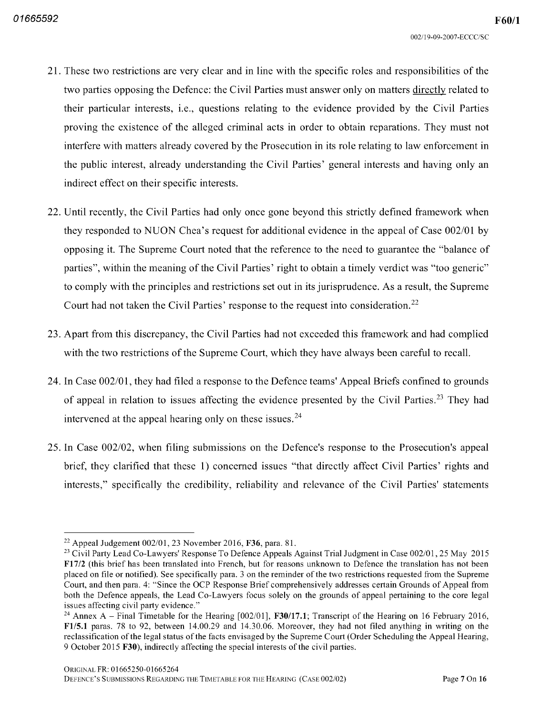- 21 These two restrictions are very clear and in line with the specific roles and responsibilities of the two parties opposing the Defence: the Civil Parties must answer only on matters directly related to their particular interests, i.e., questions relating to the evidence provided by the Civil Parties proving the existence of the alleged criminal acts in order to obtain reparations They must not interfere with matters already covered by the Prosecution in its role relating to law enforcement in the public interest, already understanding the Civil Parties' general interests and having only an indirect effect on their specific interests
- 22. Until recently, the Civil Parties had only once gone beyond this strictly defined framework when they responded to NUON Chea's request for additional evidence in the appeal of Case  $002/01$  by opposing it The Supreme Court noted that the reference to the need to guarantee the "balance of parties", within the meaning of the Civil Parties' right to obtain a timely verdict was "too generic" to comply with the principles and restrictions set out in its jurisprudence. As a result, the Supreme Court had not taken the Civil Parties' response to the request into consideration.<sup>22</sup>
- 23 Apart from this discrepancy the Civil Parties had not exceeded this framework and had complied with the two restrictions of the Supreme Court, which they have always been careful to recall.
- 24. In Case 002/01, they had filed a response to the Defence teams' Appeal Briefs confined to grounds of appeal in relation to issues affecting the evidence presented by the Civil Parties.<sup>23</sup> They had intervened at the appeal hearing only on these issues. $24$
- 25. In Case 002/02, when filing submissions on the Defence's response to the Prosecution's appeal brief, they clarified that these 1) concerned issues "that directly affect Civil Parties' rights and interests," specifically the credibility, reliability and relevance of the Civil Parties' statements

 $22$  Appeal Judgement 002/01, 23 November 2016, F36, para. 81.

<sup>&</sup>lt;sup>23</sup> Civil Party Lead Co-Lawyers' Response To Defence Appeals Against Trial Judgment in Case 002/01, 25 May 2015 F17/2 (this brief has been translated into French, but for reasons unknown to Defence the translation has not been placed on file or notified). See specifically para. 3 on the reminder of the two restrictions requested from the Supreme Court, and then para. 4: "Since the OCP Response Brief comprehensively addresses certain Grounds of Appeal from both the Defence appeals, the Lead Co-Lawyers focus solely on the grounds of appeal pertaining to the core legal issues affecting civil party evidence."

<sup>&</sup>lt;sup>24</sup> Annex A – Final Timetable for the Hearing [002/01], **F30/17.1**; Transcript of the Hearing on 16 February 2016, F1/5.1 paras. 78 to 92, between 14.00.29 and 14.30.06. Moreover, they had not filed anything in writing on the reclassification of the legal status of the facts envisaged by the Supreme Court Order Scheduling the Appeal Hearing 9 October 2015 F30), indirectly affecting the special interests of the civil parties.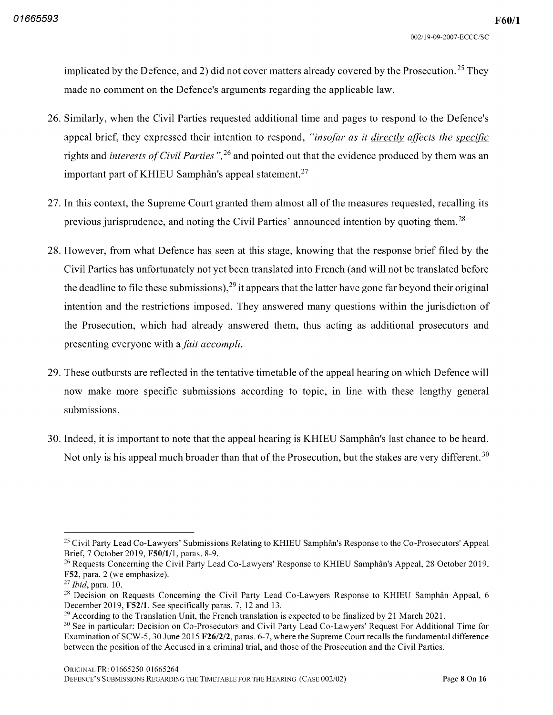implicated by the Defence, and 2) did not cover matters already covered by the Prosecution.<sup>25</sup> They made no comment on the Defence's arguments regarding the applicable law.

- 26. Similarly, when the Civil Parties requested additional time and pages to respond to the Defence's appeal brief, they expressed their intention to respond, "insofar as it directly affects the specific rights and *interests of Civil Parties*",<sup>26</sup> and pointed out that the evidence produced by them was an important part of KHIEU Samphân's appeal statement.<sup>27</sup>
- 27. In this context, the Supreme Court granted them almost all of the measures requested, recalling its previous jurisprudence, and noting the Civil Parties' announced intention by quoting them.<sup>28</sup>
- 28 However from what Defence has seen at this stage knowing that the response brief filed by the Civil Parties has unfortunately not yet been translated into French (and will not be translated before the deadline to file these submissions),<sup>29</sup> it appears that the latter have gone far beyond their original intention and the restrictions imposed. They answered many questions within the jurisdiction of the Prosecution, which had already answered them, thus acting as additional prosecutors and presenting everyone with a *fait accompli*.
- 29 These outbursts are reflected in the tentative timetable of the appeal hearing on which Defence will now make more specific submissions according to topic, in line with these lengthy general submissions
- 30. Indeed, it is important to note that the appeal hearing is KHIEU Samphân's last chance to be heard. Not only is his appeal much broader than that of the Prosecution, but the stakes are very different.  $^{30}$

<sup>&</sup>lt;sup>25</sup> Civil Party Lead Co-Lawyers' Submissions Relating to KHIEU Samphân's Response to the Co-Prosecutors' Appeal Brief, 7 October 2019, F50/1/1, paras. 8-9.

<sup>&</sup>lt;sup>26</sup> Requests Concerning the Civil Party Lead Co-Lawyers' Response to KHIEU Samphân's Appeal, 28 October 2019,  $F52$ , para. 2 (we emphasize).

<sup>&</sup>lt;sup>27</sup> Ibid, para. 10.

<sup>&</sup>lt;sup>28</sup> Decision on Requests Concerning the Civil Party Lead Co-Lawyers Response to KHIEU Samphân Appeal, December 2019,  $F52/1$ . See specifically paras. 7, 12 and 13.

 $29$  According to the Translation Unit, the French translation is expected to be finalized by 21 March 2021.

<sup>&</sup>lt;sup>30</sup> See in particular: Decision on Co-Prosecutors and Civil Party Lead Co-Lawyers' Request For Additional Time for Examination of SCW-5, 30 June 2015 F26/2/2, paras. 6-7, where the Supreme Court recalls the fundamental difference between the position of the Accused in a criminal trial, and those of the Prosecution and the Civil Parties.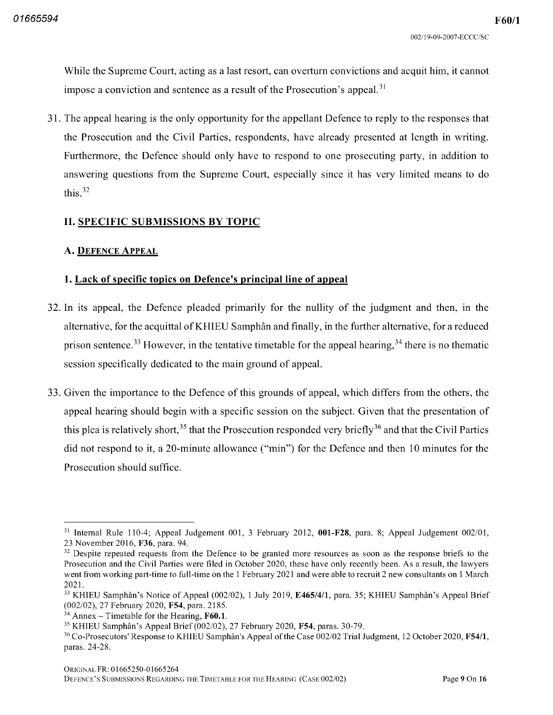While the Supreme Court, acting as a last resort, can overturn convictions and acquit him, it cannot impose a conviction and sentence as a result of the Prosecution's appeal.<sup>31</sup>

<sup>31</sup> The appeal hearing is the only opportunity for the appellant Defence to reply to the responses that the Prosecution and the Civil Parties, respondents, have already presented at length in writing. Furthermore, the Defence should only have to respond to one prosecuting party, in addition to answering questions from the Supreme Court, especially since it has very limited means to do this. $32$ 

## II. SPECIFIC SUBMISSIONS BY TOPIC

## A. DEFENCE APPEAL

## 1. Lack of specific topics on Defence's principal line of appeal

- 32. In its appeal, the Defence pleaded primarily for the nullity of the judgment and then, in the alternative, for the acquittal of KHIEU Samphân and finally, in the further alternative, for a reduced prison sentence.<sup>33</sup> However, in the tentative timetable for the appeal hearing,<sup>34</sup> there is no thematic session specifically dedicated to the main ground of appeal
- 33. Given the importance to the Defence of this grounds of appeal, which differs from the others, the appeal hearing should begin with a specific session on the subject. Given that the presentation of this plea is relatively short,<sup>35</sup> that the Prosecution responded very briefly<sup>36</sup> and that the Civil Parties did not respond to it, a 20-minute allowance ("min") for the Defence and then 10 minutes for the Prosecution should suffice

 $31$  Internal Rule 110-4; Appeal Judgement 001, 3 February 2012, 001-F28, para. 8; Appeal Judgement 002/01, 23 November 2016, **F36**, para. 94.

<sup>&</sup>lt;sup>32</sup> Despite repeated requests from the Defence to be granted more resources as soon as the response briefs to the Prosecution and the Civil Parties were filed in October 2020, these have only recently been. As a result, the lawyers went from working part-time to full-time on the 1 February 2021 and were able to recruit 2 new consultants on 1 March 2021

<sup>&</sup>lt;sup>33</sup> KHIEU Samphân's Notice of Appeal (002/02), 1 July 2019, E465/4/1, para. 35; KHIEU Samphân's Appeal Brief 002/02), 27 February 2020, **F54**, para. 2185.

 $34$  Annex – Timetable for the Hearing, F60.

<sup>&</sup>lt;sup>35</sup> KHIEU Samphân's Appeal Brief (002/02), 27 February 2020, **F54**, paras. 30-79.

 $^{36}$  Co-Prosecutors' Response to KHIEU Samphân's Appeal of the Case 002/02 Trial Judgment, 12 October 2020, F54, paras 24 28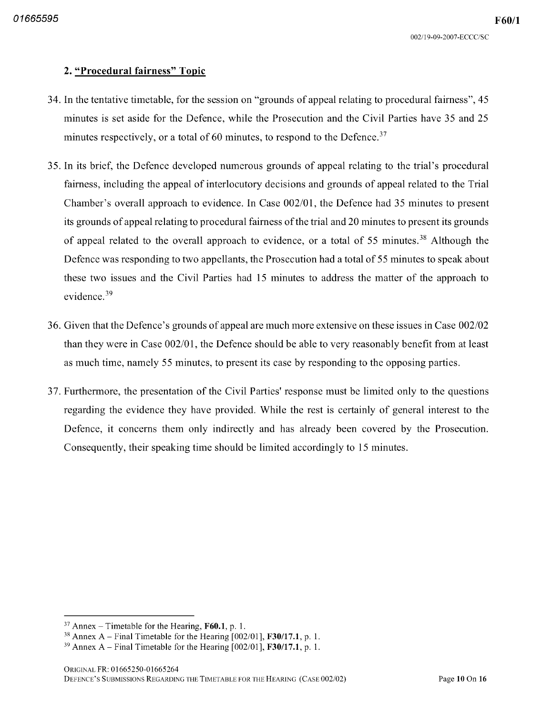# 2. "Procedural fairness" Topic

- 34. In the tentative timetable, for the session on "grounds of appeal relating to procedural fairness", 45 minutes is set aside for the Defence, while the Prosecution and the Civil Parties have 35 and 25 minutes respectively, or a total of 60 minutes, to respond to the Defence.<sup>37</sup>
- 35 In its brief the Defence developed numerous grounds of appeal relating to the trial's procedural fairness, including the appeal of interlocutory decisions and grounds of appeal related to the Trial Chamber's overall approach to evidence. In Case 002/01, the Defence had 35 minutes to present its grounds of appeal relating to procedural fairness of the trial and 20 minutes to present its grounds of appeal related to the overall approach to evidence, or a total of 55 minutes.<sup>38</sup> Although the Defence was responding to two appellants, the Prosecution had a total of 55 minutes to speak about these two issues and the Civil Parties had <sup>15</sup> minutes to address the matter of the approach to evidence.<sup>39</sup>
- 36. Given that the Defence's grounds of appeal are much more extensive on these issues in Case 002/02 than they were in Case  $002/01$ , the Defence should be able to very reasonably benefit from at least as much time, namely 55 minutes, to present its case by responding to the opposing parties.
- 37. Furthermore, the presentation of the Civil Parties' response must be limited only to the questions regarding the evidence they have provided. While the rest is certainly of general interest to the Defence, it concerns them only indirectly and has already been covered by the Prosecution. Consequently, their speaking time should be limited accordingly to 15 minutes.

 $37$  Annex – Timetable for the Hearing, F60.

 $38$  Annex A – Final Timetable for the Hearing [002/01], **F30/17.** 

 $39$  Annex A – Final Timetable for the Hearing [002/01], **F30/17.**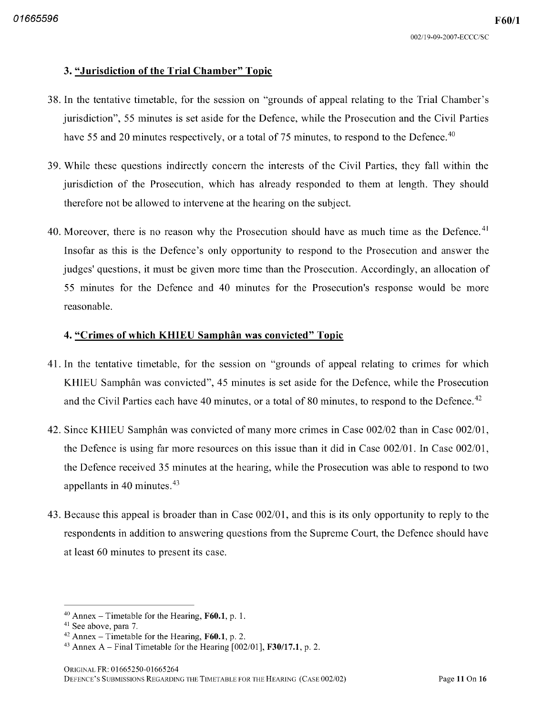## 3. "Jurisdiction of the Trial Chamber" Topic

- 38. In the tentative timetable, for the session on "grounds of appeal relating to the Trial Chamber's jurisdiction", 55 minutes is set aside for the Defence, while the Prosecution and the Civil Parties have 55 and 20 minutes respectively, or a total of 75 minutes, to respond to the Defence.<sup>40</sup>
- 39 While these questions indirectly concern the interests of the Civil Parties they fall within the jurisdiction of the Prosecution, which has already responded to them at length. They should therefore not be allowed to intervene at the hearing on the subject
- 40. Moreover, there is no reason why the Prosecution should have as much time as the Defence.<sup>41</sup> Insofar as this is the Defence's only opportunity to respond to the Prosecution and answer the judges' questions, it must be given more time than the Prosecution. Accordingly, an allocation of 55 minutes for the Defence and 40 minutes for the Prosecution's response would be more reasonable

#### 4. "Crimes of which KHIEU Samphân was convicted" Topic

- 41 In the tentative timetable for the session on "grounds of appeal relating to crimes for which KHIEU Samphân was convicted", 45 minutes is set aside for the Defence, while the Prosecution and the Civil Parties each have 40 minutes, or a total of 80 minutes, to respond to the Defence.<sup>42</sup>
- 42. Since KHIEU Samphân was convicted of many more crimes in Case 002/02 than in Case 002/01, the Defence is using far more resources on this issue than it did in Case  $002/01$ . In Case  $002/01$ , the Defence received 35 minutes at the hearing, while the Prosecution was able to respond to two appellants in 40 minutes. $43$
- 43. Because this appeal is broader than in Case 002/01, and this is its only opportunity to reply to the respondents in addition to answering questions from the Supreme Court, the Defence should have at least 60 minutes to present its case

 $40$  Annex – Timetable for the Hearing, F60.

<sup>&</sup>lt;sup>41</sup> See above, para

 $42$  Annex – Timetable for the Hearing, **F60**.

<sup>&</sup>lt;sup>43</sup> Annex A – Final Timetable for the Hearing  $[002/01]$ , **F30/17.**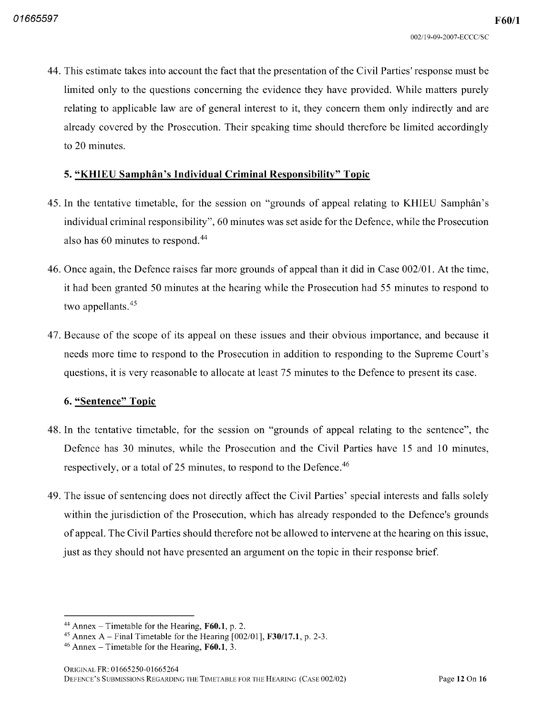44 This estimate takes into account the fact that the presentation of the Civil Parties response must be limited only to the questions concerning the evidence they have provided. While matters purely relating to applicable law are of general interest to it, they concern them only indirectly and are already covered by the Prosecution. Their speaking time should therefore be limited accordingly to 20 minutes

## 5. "KHIEU Samphân's Individual Criminal Responsibility" Topic

- <sup>45</sup> In the tentative timetable for the session on "grounds of appeal relating to KHIEU Samphân's individual criminal responsibility", 60 minutes was set aside for the Defence, while the Prosecution also has 60 minutes to respond.<sup>44</sup>
- 46. Once again, the Defence raises far more grounds of appeal than it did in Case 002/01. At the time, it had been granted 50 minutes at the hearing while the Prosecution had 55 minutes to respond to two appellants.<sup>45</sup>
- 47 Because of the scope of its appeal on these issues and their obvious importance and because it needs more time to respond to the Prosecution in addition to responding to the Supreme Court's questions, it is very reasonable to allocate at least 75 minutes to the Defence to present its case.

## 6. "Sentence" Topic

- 48. In the tentative timetable, for the session on "grounds of appeal relating to the sentence", the Defence has 30 minutes, while the Prosecution and the Civil Parties have 15 and 10 minutes, respectively, or a total of 25 minutes, to respond to the Defence.<sup>46</sup>
- 49 The issue of sentencing does not directly affect the Civil Parties' special interests and falls solely within the jurisdiction of the Prosecution, which has already responded to the Defence's grounds of appeal The Civil Parties should therefore not be allowed to intervene at the hearing on this issue just as they should not have presented an argument on the topic in their response brief

 $44$  Annex – Timetable for the Hearing, F60.

<sup>&</sup>lt;sup>45</sup> Annex A – Final Timetable for the Hearing  $[002/01]$ , **F30/17.** 

 $46$  Annex – Timetable for the Hearing, F60.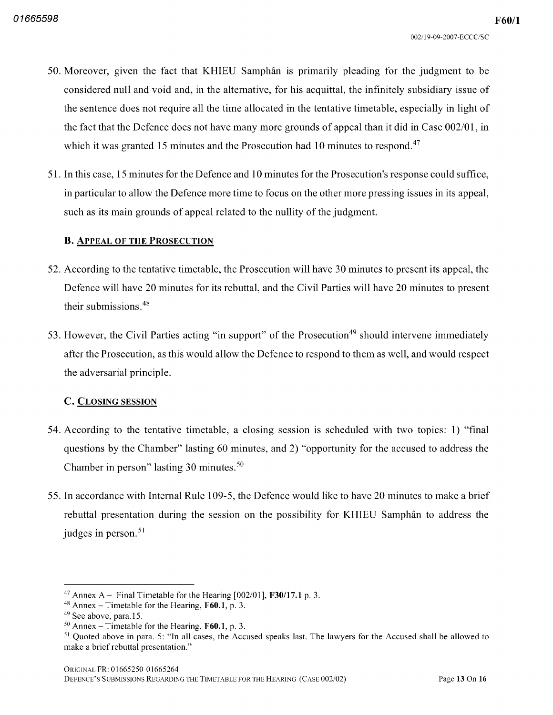- <sup>50</sup> Moreover given the fact that KHIEU Samphân is primarily pleading for the judgment to be considered null and void and, in the alternative, for his acquittal, the infinitely subsidiary issue of the sentence does not require all the time allocated in the tentative timetable, especially in light of the fact that the Defence does not have many more grounds of appeal than it did in Case 002/01, in which it was granted 15 minutes and the Prosecution had 10 minutes to respond.<sup>47</sup>
- 51. In this case, 15 minutes for the Defence and 10 minutes for the Prosecution's response could suffice, in particular to allow the Defence more time to focus on the other more pressing issues in its appeal such as its main grounds of appeal related to the nullity of the judgment.

#### **B. APPEAL OF THE PROSECUTION**

- 52. According to the tentative timetable, the Prosecution will have 30 minutes to present its appeal, the Defence will have 20 minutes for its rebuttal, and the Civil Parties will have 20 minutes to present their submissions 48
- 53. However, the Civil Parties acting "in support" of the Prosecution<sup>49</sup> should intervene immediately after the Prosecution, as this would allow the Defence to respond to them as well, and would respect the adversarial principle

### **C. CLOSING SESSION**

- 54. According to the tentative timetable, a closing session is scheduled with two topics:  $\alpha$  "final" questions by the Chamber" lasting 60 minutes, and 2) "opportunity for the accused to address the Chamber in person" lasting 30 minutes.<sup>50</sup>
- 55. In accordance with Internal Rule 109-5, the Defence would like to have 20 minutes to make a brief rebuttal presentation during the session on the possibility for KHIEU Samphân to address the judges in person.<sup>51</sup>

<sup>&</sup>lt;sup>47</sup> Annex A – Final Timetable for the Hearing  $[002/01]$ , **F30/17.** 

 $48$  Annex – Timetable for the Hearing, F60.

<sup>&</sup>lt;sup>49</sup> See above, para.15.

 $50$  Annex – Timetable for the Hearing, F60.

 $51$  Quoted above in para. 5: "In all cases, the Accused speaks last. The lawyers for the Accused shall be allowed to make a brief rebuttal presentation."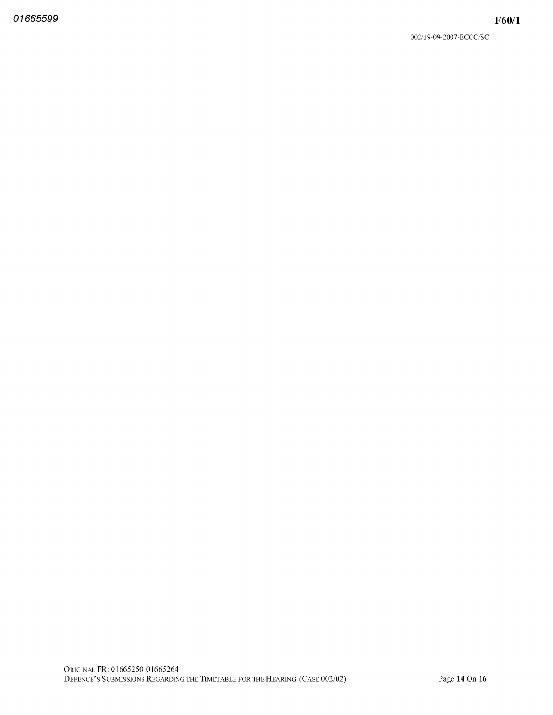002/19-09-2007-ECCC/SC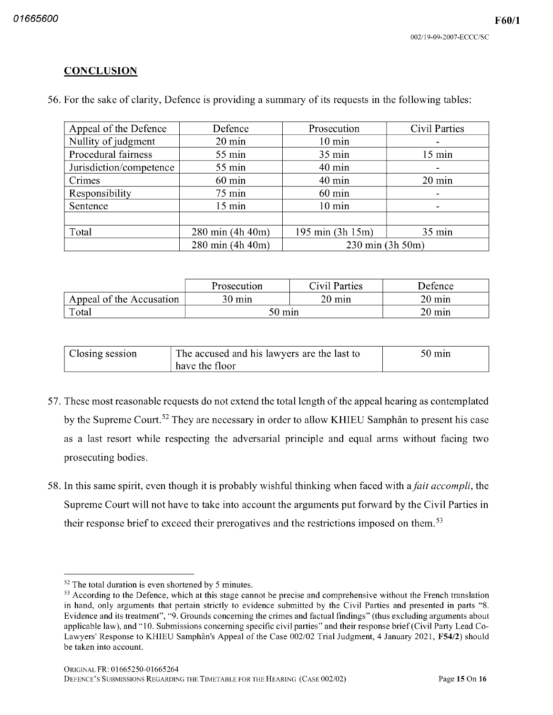# **CONCLUSION**

| Appeal of the Defence   | Defence          | Prosecution      | <b>Civil Parties</b> |
|-------------------------|------------------|------------------|----------------------|
| Nullity of judgment     | $20 \text{ min}$ | $10 \text{ min}$ |                      |
| Procedural fairness     | 55 min           | $35 \text{ min}$ | $15 \text{ min}$     |
| Jurisdiction/competence | 55 min           | $40 \text{ min}$ |                      |
| Crimes                  | $60 \text{ min}$ | 40 min           | $20 \text{ min}$     |
| Responsibility          | 75 min           | $60 \text{ min}$ |                      |
| Sentence                | $15 \text{ min}$ | $10 \text{ min}$ |                      |
|                         |                  |                  |                      |
| Total                   | 280 min (4h 40m) | 195 min (3h 15m) | $35 \text{ min}$     |
|                         | 280 min (4h 40m) | 230 min (3h 50m) |                      |

56. For the sake of clarity, Defence is providing a summary of its requests in the following tables:

|                          | <b>Prosecution</b> | Civil Parties    | <b>Defence</b>   |
|--------------------------|--------------------|------------------|------------------|
| Appeal of the Accusation | $30 \text{ min}$   | $20 \text{ min}$ | $20 \text{ min}$ |
| Total                    | $50 \text{ min}$   |                  | $20 \text{ min}$ |

| Closing session | The accused and his lawyers are the last to | 50 min |
|-----------------|---------------------------------------------|--------|
|                 | have the floor                              |        |

- 57 These most reasonable requests do not extend the total length of the appeal hearing as contemplated by the Supreme Court.<sup>52</sup> They are necessary in order to allow KHIEU Samphân to present his case as a last resort while respecting the adversarial principle and equal arms without facing two prosecuting bodies
- 58. In this same spirit, even though it is probably wishful thinking when faced with a *fait accompli*, the Supreme Court will not have to take into account the arguments put forward by the Civil Parties in their response brief to exceed their prerogatives and the restrictions imposed on them 53

 $52$  The total duration is even shortened by 5 minutes.

<sup>&</sup>lt;sup>53</sup> According to the Defence, which at this stage cannot be precise and comprehensive without the French translation in hand, only arguments that pertain strictly to evidence submitted by the Civil Parties and presented in parts "8. Evidence and its treatment", "9. Grounds concerning the crimes and factual findings" (thus excluding arguments about applicable law), and "10. Submissions concerning specific civil parties" and their response brief (Civil Party Lead Co-Lawyers' Response to KHIEU Samphân's Appeal of the Case 002/02 Trial Judgment, 4 January 2021, F54/2) should be taken into account